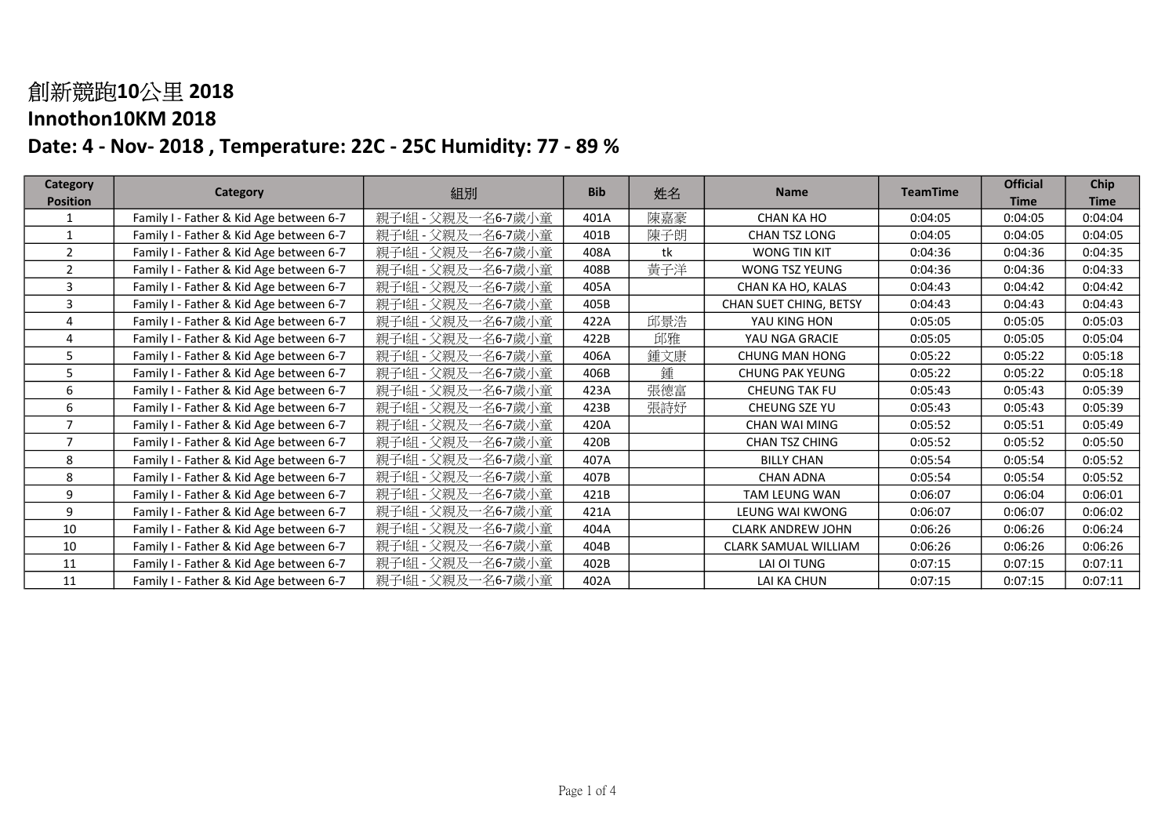| <b>Category</b> |                                         | 組別                        | <b>Bib</b> | 姓名  | <b>Name</b>              | <b>TeamTime</b> | <b>Official</b> | Chip        |
|-----------------|-----------------------------------------|---------------------------|------------|-----|--------------------------|-----------------|-----------------|-------------|
| <b>Position</b> | Category                                |                           |            |     |                          |                 | <b>Time</b>     | <b>Time</b> |
|                 | Family I - Father & Kid Age between 6-7 | 親子!組 - 父親及一名6-7歲小童        | 401A       | 陳嘉豪 | <b>CHAN KA HO</b>        | 0:04:05         | 0:04:05         | 0:04:04     |
|                 | Family I - Father & Kid Age between 6-7 | 名6-7歲小童<br>親子!組<br>- 父親及  | 401B       | 陳子朗 | CHAN TSZ LONG            | 0:04:05         | 0:04:05         | 0:04:05     |
| 2               | Family I - Father & Kid Age between 6-7 | 親子 組<br>- 父親及一名6-7歲小童     | 408A       | tk  | WONG TIN KIT             | 0:04:36         | 0:04:36         | 0:04:35     |
| $\overline{2}$  | Family I - Father & Kid Age between 6-7 | - 父親及一名6-7歲小童<br>親子!組     | 408B       | 黃子洋 | WONG TSZ YEUNG           | 0:04:36         | 0:04:36         | 0:04:33     |
| 3               | Family I - Father & Kid Age between 6-7 | 親子!組 - 父親及一名6-7歲小童        | 405A       |     | CHAN KA HO, KALAS        | 0:04:43         | 0:04:42         | 0:04:42     |
| 3               | Family I - Father & Kid Age between 6-7 | 名6-7歲小童<br>親子!組<br>- 父親及  | 405B       |     | CHAN SUET CHING, BETSY   | 0:04:43         | 0:04:43         | 0:04:43     |
|                 | Family I - Father & Kid Age between 6-7 | 名6-7歲小童<br>- 父親及<br>親子!組  | 422A       | 邱景浩 | YAU KING HON             | 0:05:05         | 0:05:05         | 0:05:03     |
|                 | Family I - Father & Kid Age between 6-7 | - 父親及一名6-7歲小童<br>親子!組     | 422B       | 邱雅  | YAU NGA GRACIE           | 0:05:05         | 0:05:05         | 0:05:04     |
| 5.              | Family I - Father & Kid Age between 6-7 | 名6-7歲小童<br>親子[組<br>- 父親及  | 406A       | 鍾文康 | <b>CHUNG MAN HONG</b>    | 0:05:22         | 0:05:22         | 0:05:18     |
| 5               | Family I - Father & Kid Age between 6-7 | 親子!組 - 父親及一名6-7歲小童        | 406B       | 鍾   | <b>CHUNG PAK YEUNG</b>   | 0:05:22         | 0:05:22         | 0:05:18     |
| 6               | Family I - Father & Kid Age between 6-7 | 名6-7歲小童<br>親子 組<br>- 父親及  | 423A       | 張德富 | <b>CHEUNG TAK FU</b>     | 0:05:43         | 0:05:43         | 0:05:39     |
| 6               | Family I - Father & Kid Age between 6-7 | -名6-7歲小童<br>親子!組<br>- 父親及 | 423B       | 張詩妤 | CHEUNG SZE YU            | 0:05:43         | 0:05:43         | 0:05:39     |
|                 | Family I - Father & Kid Age between 6-7 | 名6-7歲小童<br>親子 組<br>- 父親及  | 420A       |     | <b>CHAN WAI MING</b>     | 0:05:52         | 0:05:51         | 0:05:49     |
|                 | Family I - Father & Kid Age between 6-7 | 親子!組<br>一名6-7歲小童<br>- 父親及 | 420B       |     | CHAN TSZ CHING           | 0:05:52         | 0:05:52         | 0:05:50     |
| 8               | Family I - Father & Kid Age between 6-7 | 親子!組<br>-名6-7歲小童<br>- 父親及 | 407A       |     | <b>BILLY CHAN</b>        | 0:05:54         | 0:05:54         | 0:05:52     |
| 8               | Family I - Father & Kid Age between 6-7 | 親子 組<br>名6-7歲小童<br>- 父親及  | 407B       |     | <b>CHAN ADNA</b>         | 0:05:54         | 0:05:54         | 0:05:52     |
| 9               | Family I - Father & Kid Age between 6-7 | 名6-7歲小童<br>親子!組<br>- 父親及  | 421B       |     | TAM LEUNG WAN            | 0:06:07         | 0:06:04         | 0:06:01     |
| 9               | Family I - Father & Kid Age between 6-7 | 名6-7歲小童<br>親子 組<br>- 父親及  | 421A       |     | LEUNG WAI KWONG          | 0:06:07         | 0:06:07         | 0:06:02     |
| 10              | Family I - Father & Kid Age between 6-7 | 名6-7歲小童<br>親子!組<br>- 父親及  | 404A       |     | <b>CLARK ANDREW JOHN</b> | 0:06:26         | 0:06:26         | 0:06:24     |
| 10              | Family I - Father & Kid Age between 6-7 | 親子!組<br>名6-7歲小童<br>- 父親及  | 404B       |     | CLARK SAMUAL WILLIAM     | 0:06:26         | 0:06:26         | 0:06:26     |
| 11              | Family I - Father & Kid Age between 6-7 | 一名6-7歲小童<br>親子!組 - 父親及    | 402B       |     | LAI OI TUNG              | 0:07:15         | 0:07:15         | 0:07:11     |
| 11              | Family I - Father & Kid Age between 6-7 | 親子!組 - 父親及一名6-7歲小童        | 402A       |     | LAI KA CHUN              | 0:07:15         | 0:07:15         | 0:07:11     |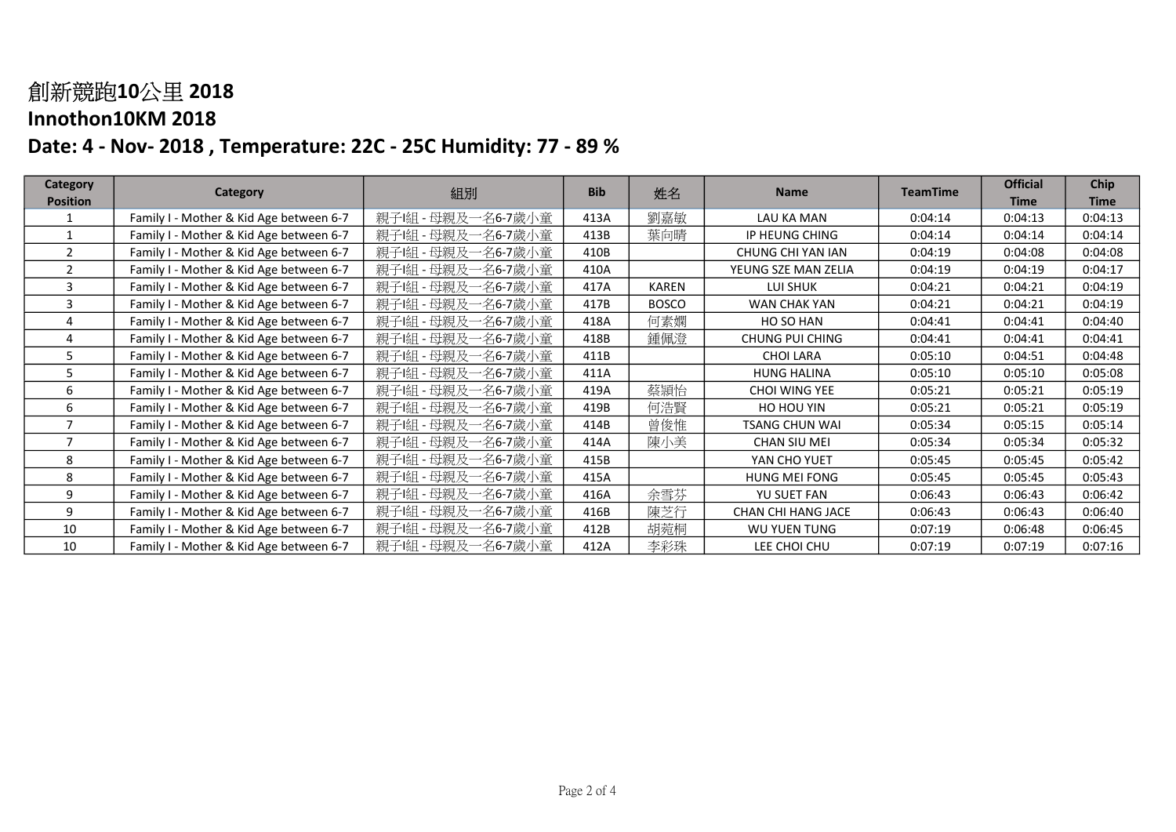| <b>Category</b> |                                         |                       | <b>Bib</b> |              | <b>Name</b>            | <b>TeamTime</b> | <b>Official</b> | Chip        |
|-----------------|-----------------------------------------|-----------------------|------------|--------------|------------------------|-----------------|-----------------|-------------|
| <b>Position</b> | Category                                | 組別                    |            | 姓名           |                        |                 | <b>Time</b>     | <b>Time</b> |
|                 | Family I - Mother & Kid Age between 6-7 | 親子!組 - 母親及一名6-7歲小童    | 413A       | 劉嘉敏          | LAU KA MAN             | 0:04:14         | 0:04:13         | 0:04:13     |
|                 | Family I - Mother & Kid Age between 6-7 | 親子!組 - 母親及一名6-7歲小童    | 413B       | 葉向晴          | IP HEUNG CHING         | 0:04:14         | 0:04:14         | 0:04:14     |
| $\mathfrak{p}$  | Family I - Mother & Kid Age between 6-7 | - 母親及一名6-7歲小童<br>親子 組 | 410B       |              | CHUNG CHI YAN IAN      | 0:04:19         | 0:04:08         | 0:04:08     |
| $\overline{2}$  | Family I - Mother & Kid Age between 6-7 | 親子!組 - 母親及一名6-7歲小童    | 410A       |              | YEUNG SZE MAN ZELIA    | 0:04:19         | 0:04:19         | 0:04:17     |
| 3               | Family I - Mother & Kid Age between 6-7 | 親子!組 - 母親及一名6-7歲小童    | 417A       | <b>KAREN</b> | LUI SHUK               | 0:04:21         | 0:04:21         | 0:04:19     |
| ς               | Family I - Mother & Kid Age between 6-7 | - 母親及一名6-7歲小童<br>親子!組 | 417B       | <b>BOSCO</b> | WAN CHAK YAN           | 0:04:21         | 0:04:21         | 0:04:19     |
|                 | Family I - Mother & Kid Age between 6-7 | - 母親及一名6-7歲小童<br>親子!組 | 418A       | 何素嫻          | HO SO HAN              | 0:04:41         | 0:04:41         | 0:04:40     |
|                 | Family I - Mother & Kid Age between 6-7 | - 母親及一名6-7歲小童<br>親子!組 | 418B       | 鍾佩澄          | <b>CHUNG PUI CHING</b> | 0:04:41         | 0:04:41         | 0:04:41     |
|                 | Family I - Mother & Kid Age between 6-7 | - 母親及一名6-7歲小童<br>親子[組 | 411B       |              | <b>CHOI LARA</b>       | 0:05:10         | 0:04:51         | 0:04:48     |
| 5.              | Family I - Mother & Kid Age between 6-7 | - 母親及一名6-7歲小童<br>親子[組 | 411A       |              | <b>HUNG HALINA</b>     | 0:05:10         | 0:05:10         | 0:05:08     |
| 6               | Family I - Mother & Kid Age between 6-7 | 母親及一名6-7歲小童<br>親子[組   | 419A       | 蔡頴怡          | CHOI WING YEE          | 0:05:21         | 0:05:21         | 0:05:19     |
| 6               | Family I - Mother & Kid Age between 6-7 | - 母親及一名6-7歲小童<br>親子!組 | 419B       | 何浩賢          | HO HOU YIN             | 0:05:21         | 0:05:21         | 0:05:19     |
|                 | Family I - Mother & Kid Age between 6-7 | - 母親及一名6-7歲小童<br>親子 組 | 414B       | 曾俊惟          | <b>TSANG CHUN WAI</b>  | 0:05:34         | 0:05:15         | 0:05:14     |
| ⇁               | Family I - Mother & Kid Age between 6-7 | - 母親及一名6-7歲小童<br>親子[組 | 414A       | 陳小美          | <b>CHAN SIU MEI</b>    | 0:05:34         | 0:05:34         | 0:05:32     |
| 8               | Family I - Mother & Kid Age between 6-7 | - 母親及一名6-7歲小童<br>親子!組 | 415B       |              | YAN CHO YUET           | 0:05:45         | 0:05:45         | 0:05:42     |
| 8               | Family I - Mother & Kid Age between 6-7 | - 母親及一名6-7歲小童<br>親子 組 | 415A       |              | <b>HUNG MEI FONG</b>   | 0:05:45         | 0:05:45         | 0:05:43     |
| 9               | Family I - Mother & Kid Age between 6-7 | 親子!組 - 母親及一名6-7歲小童    | 416A       | 余雪芬          | YU SUET FAN            | 0:06:43         | 0:06:43         | 0:06:42     |
| 9               | Family I - Mother & Kid Age between 6-7 | - 母親及一名6-7歲小童<br>親子[組 | 416B       | 陳芝行          | CHAN CHI HANG JACE     | 0:06:43         | 0:06:43         | 0:06:40     |
| 10              | Family I - Mother & Kid Age between 6-7 | - 母親及一名6-7歲小童<br>親子!組 | 412B       | 胡菀桐          | WU YUEN TUNG           | 0:07:19         | 0:06:48         | 0:06:45     |
| 10              | Family I - Mother & Kid Age between 6-7 | 親子!組 - 母親及一名6-7歲小童    | 412A       | 李彩珠          | LEE CHOI CHU           | 0:07:19         | 0:07:19         | 0:07:16     |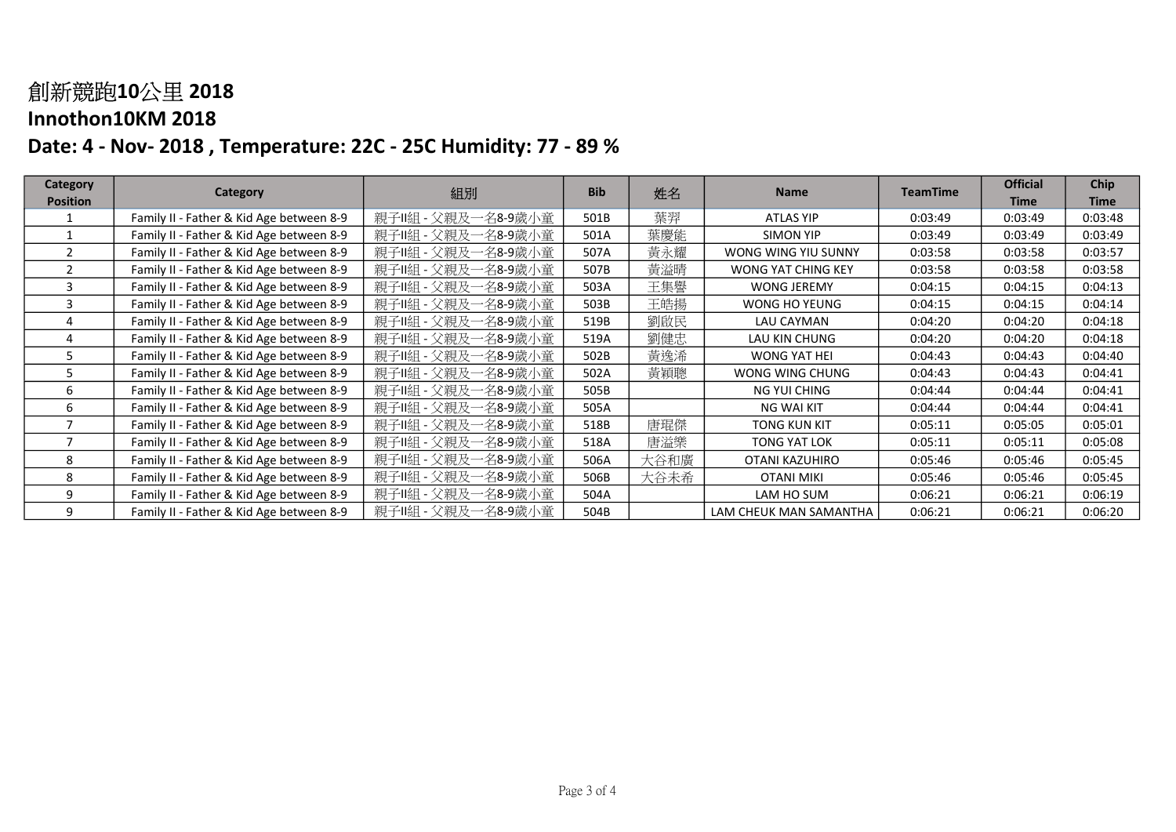| Category        |                                          |                     | <b>Bib</b> | 姓名   | <b>Name</b>               |                 | <b>Official</b> | Chip        |
|-----------------|------------------------------------------|---------------------|------------|------|---------------------------|-----------------|-----------------|-------------|
| <b>Position</b> | Category                                 | 組別                  |            |      |                           | <b>TeamTime</b> | <b>Time</b>     | <b>Time</b> |
|                 | Family II - Father & Kid Age between 8-9 | 親子Ⅱ組 - 父親及一名8-9歲小童  | 501B       | 葉羿   | ATLAS YIP                 | 0:03:49         | 0:03:49         | 0:03:48     |
|                 | Family II - Father & Kid Age between 8-9 | 親子Ⅱ組 - 父親及一名8-9歲小童  | 501A       | 葉慶能  | <b>SIMON YIP</b>          | 0:03:49         | 0:03:49         | 0:03:49     |
| $\mathcal{P}$   | Family II - Father & Kid Age between 8-9 | 親子II組 - 父親及一名8-9歲小童 | 507A       | 黃永耀  | WONG WING YIU SUNNY       | 0:03:58         | 0:03:58         | 0:03:57     |
|                 | Family II - Father & Kid Age between 8-9 | 親子Ⅱ組 - 父親及一名8-9歲小童  | 507B       | 黃溢晴  | <b>WONG YAT CHING KEY</b> | 0:03:58         | 0:03:58         | 0:03:58     |
| ર               | Family II - Father & Kid Age between 8-9 | 親子Ⅱ組 - 父親及一名8-9歲小童  | 503A       | 王集譽  | <b>WONG JEREMY</b>        | 0:04:15         | 0:04:15         | 0:04:13     |
|                 | Family II - Father & Kid Age between 8-9 | 親子Ⅱ組 - 父親及一名8-9歲小童  | 503B       | 王皓揚  | WONG HO YEUNG             | 0:04:15         | 0:04:15         | 0:04:14     |
|                 | Family II - Father & Kid Age between 8-9 | 親子II組 - 父親及一名8-9歲小童 | 519B       | 劉啟民  | LAU CAYMAN                | 0:04:20         | 0:04:20         | 0:04:18     |
|                 | Family II - Father & Kid Age between 8-9 | 親子IL組 - 父親及一名8-9歲小童 | 519A       | 劉健忠  | LAU KIN CHUNG             | 0:04:20         | 0:04:20         | 0:04:18     |
| 5               | Family II - Father & Kid Age between 8-9 | 親子II組 - 父親及一名8-9歲小童 | 502B       | 黃逸浠  | WONG YAT HEI              | 0:04:43         | 0:04:43         | 0:04:40     |
| 5               | Family II - Father & Kid Age between 8-9 | 親子Ⅱ組 - 父親及一名8-9歲小童  | 502A       | 黃穎聰  | WONG WING CHUNG           | 0:04:43         | 0:04:43         | 0:04:41     |
| 6               | Family II - Father & Kid Age between 8-9 | 親子II組 - 父親及一名8-9歲小童 | 505B       |      | NG YUI CHING              | 0:04:44         | 0:04:44         | 0:04:41     |
| 6               | Family II - Father & Kid Age between 8-9 | 親子II組 - 父親及一名8-9歲小童 | 505A       |      | <b>NG WAI KIT</b>         | 0:04:44         | 0:04:44         | 0:04:41     |
|                 | Family II - Father & Kid Age between 8-9 | 親子II組 - 父親及一名8-9歲小童 | 518B       | 唐琨傑  | <b>TONG KUN KIT</b>       | 0:05:11         | 0:05:05         | 0:05:01     |
|                 | Family II - Father & Kid Age between 8-9 | 親子II組 - 父親及一名8-9歲小童 | 518A       | 唐溢樂  | <b>TONG YAT LOK</b>       | 0:05:11         | 0:05:11         | 0:05:08     |
| 8               | Family II - Father & Kid Age between 8-9 | 親子Ⅱ組 - 父親及一名8-9歲小童  | 506A       | 大谷和廣 | OTANI KAZUHIRO            | 0:05:46         | 0:05:46         | 0:05:45     |
| 8               | Family II - Father & Kid Age between 8-9 | 親子II組 - 父親及一名8-9歲小童 | 506B       | 大谷未希 | <b>OTANI MIKI</b>         | 0:05:46         | 0:05:46         | 0:05:45     |
| 9               | Family II - Father & Kid Age between 8-9 | 親子Ⅱ組 - 父親及一名8-9歲小童  | 504A       |      | LAM HO SUM                | 0:06:21         | 0:06:21         | 0:06:19     |
| 9               | Family II - Father & Kid Age between 8-9 | 親子Ⅱ組 - 父親及一名8-9歲小童  | 504B       |      | LAM CHEUK MAN SAMANTHA    | 0:06:21         | 0:06:21         | 0:06:20     |